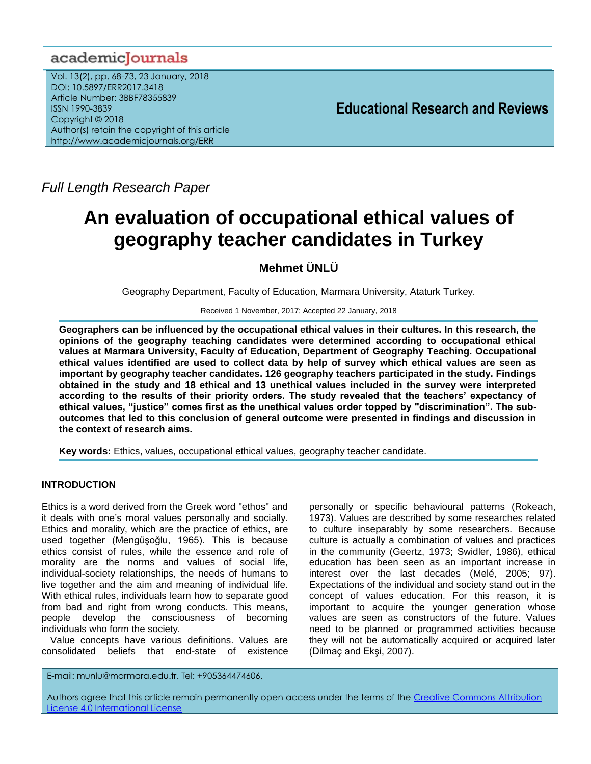# academicJournals

Vol. 13(2), pp. 68-73, 23 January, 2018 DOI: 10.5897/ERR2017.3418 Article Number: 3BBF78355839 ISSN 1990-3839 Copyright © 2018 Author(s) retain the copyright of this article http://www.academicjournals.org/ERR

**Educational Research and Reviews**

*Full Length Research Paper*

# **An evaluation of occupational ethical values of geography teacher candidates in Turkey**

**Mehmet ÜNLÜ**

Geography Department, Faculty of Education, Marmara University, Ataturk Turkey.

Received 1 November, 2017; Accepted 22 January, 2018

**Geographers can be influenced by the occupational ethical values in their cultures. In this research, the opinions of the geography teaching candidates were determined according to occupational ethical values at Marmara University, Faculty of Education, Department of Geography Teaching. Occupational ethical values identified are used to collect data by help of survey which ethical values are seen as important by geography teacher candidates. 126 geography teachers participated in the study. Findings obtained in the study and 18 ethical and 13 unethical values included in the survey were interpreted according to the results of their priority orders. The study revealed that the teachers' expectancy of ethical values, "justice" comes first as the unethical values order topped by "discrimination". The suboutcomes that led to this conclusion of general outcome were presented in findings and discussion in the context of research aims.**

**Key words:** Ethics, values, occupational ethical values, geography teacher candidate.

# **INTRODUCTION**

Ethics is a word derived from the Greek word "ethos" and it deals with one"s moral values personally and socially. Ethics and morality, which are the practice of ethics, are used together (Mengüşoğlu, 1965). This is because ethics consist of rules, while the essence and role of morality are the norms and values of social life, individual-society relationships, the needs of humans to live together and the aim and meaning of individual life. With ethical rules, individuals learn how to separate good from bad and right from wrong conducts. This means, people develop the consciousness of becoming individuals who form the society.

Value concepts have various definitions. Values are consolidated beliefs that end-state of existence

personally or specific behavioural patterns (Rokeach, 1973). Values are described by some researches related to culture inseparably by some researchers. Because culture is actually a combination of values and practices in the community (Geertz, 1973; Swidler, 1986), ethical education has been seen as an important increase in interest over the last decades (Melé, 2005; 97). Expectations of the individual and society stand out in the concept of values education. For this reason, it is important to acquire the younger generation whose values are seen as constructors of the future. Values need to be planned or programmed activities because they will not be automatically acquired or acquired later (Dilmaç and Ekşi, 2007).

E-mail: munlu@marmara.edu.tr. Tel: +905364474606.

Authors agree that this article remain permanently open access under the terms of the [Creative Commons Attribution](file://192.168.1.24/reading/Arts%20and%20Education/ERR/2014/sept/read/Correction%20Pdf%201/ERR-17.04.14-1816/Publication/Creative%20Co)  [License 4.0 International License](file://192.168.1.24/reading/Arts%20and%20Education/ERR/2014/sept/read/Correction%20Pdf%201/ERR-17.04.14-1816/Publication/Creative%20Co)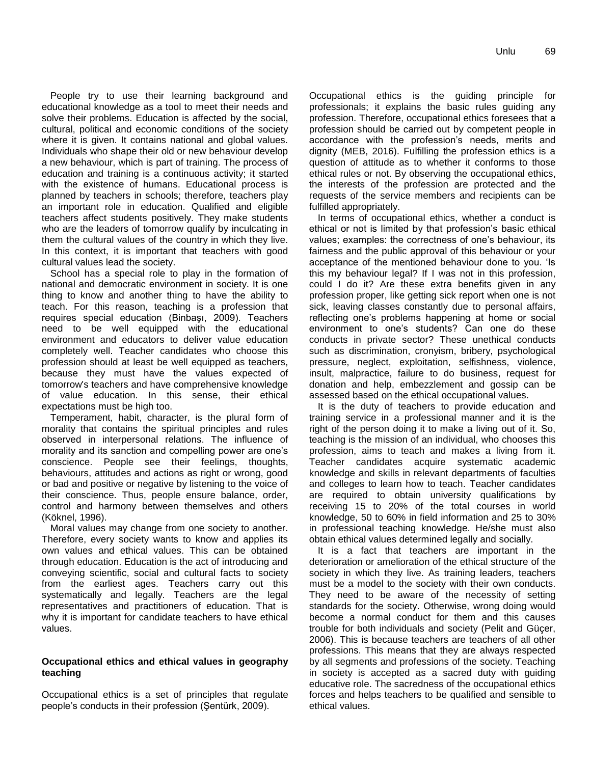People try to use their learning background and educational knowledge as a tool to meet their needs and solve their problems. Education is affected by the social, cultural, political and economic conditions of the society where it is given. It contains national and global values. Individuals who shape their old or new behaviour develop a new behaviour, which is part of training. The process of education and training is a continuous activity; it started with the existence of humans. Educational process is planned by teachers in schools; therefore, teachers play an important role in education. Qualified and eligible teachers affect students positively. They make students who are the leaders of tomorrow qualify by inculcating in them the cultural values of the country in which they live. In this context, it is important that teachers with good cultural values lead the society.

School has a special role to play in the formation of national and democratic environment in society. It is one thing to know and another thing to have the ability to teach. For this reason, teaching is a profession that requires special education (Binbaşı, 2009). Teachers need to be well equipped with the educational environment and educators to deliver value education completely well. Teacher candidates who choose this profession should at least be well equipped as teachers, because they must have the values expected of tomorrow's teachers and have comprehensive knowledge of value education. In this sense, their ethical expectations must be high too.

Temperament, habit, character, is the plural form of morality that contains the spiritual principles and rules observed in interpersonal relations. The influence of morality and its sanction and compelling power are one"s conscience. People see their feelings, thoughts, behaviours, attitudes and actions as right or wrong, good or bad and positive or negative by listening to the voice of their conscience. Thus, people ensure balance, order, control and harmony between themselves and others (Köknel, 1996).

Moral values may change from one society to another. Therefore, every society wants to know and applies its own values and ethical values. This can be obtained through education. Education is the act of introducing and conveying scientific, social and cultural facts to society from the earliest ages. Teachers carry out this systematically and legally. Teachers are the legal representatives and practitioners of education. That is why it is important for candidate teachers to have ethical values.

# **Occupational ethics and ethical values in geography teaching**

Occupational ethics is a set of principles that regulate people"s conducts in their profession (Şentürk, 2009).

Occupational ethics is the guiding principle for professionals; it explains the basic rules guiding any profession. Therefore, occupational ethics foresees that a profession should be carried out by competent people in accordance with the profession"s needs, merits and dignity (MEB, 2016). Fulfilling the profession ethics is a question of attitude as to whether it conforms to those ethical rules or not. By observing the occupational ethics, the interests of the profession are protected and the requests of the service members and recipients can be fulfilled appropriately.

In terms of occupational ethics, whether a conduct is ethical or not is limited by that profession"s basic ethical values; examples: the correctness of one"s behaviour, its fairness and the public approval of this behaviour or your acceptance of the mentioned behaviour done to you. "Is this my behaviour legal? If I was not in this profession, could I do it? Are these extra benefits given in any profession proper, like getting sick report when one is not sick, leaving classes constantly due to personal affairs, reflecting one"s problems happening at home or social environment to one"s students? Can one do these conducts in private sector? These unethical conducts such as discrimination, cronyism, bribery, psychological pressure, neglect, exploitation, selfishness, violence, insult, malpractice, failure to do business, request for donation and help, embezzlement and gossip can be assessed based on the ethical occupational values.

It is the duty of teachers to provide education and training service in a professional manner and it is the right of the person doing it to make a living out of it. So, teaching is the mission of an individual, who chooses this profession, aims to teach and makes a living from it. Teacher candidates acquire systematic academic knowledge and skills in relevant departments of faculties and colleges to learn how to teach. Teacher candidates are required to obtain university qualifications by receiving 15 to 20% of the total courses in world knowledge, 50 to 60% in field information and 25 to 30% in professional teaching knowledge. He/she must also obtain ethical values determined legally and socially.

It is a fact that teachers are important in the deterioration or amelioration of the ethical structure of the society in which they live. As training leaders, teachers must be a model to the society with their own conducts. They need to be aware of the necessity of setting standards for the society. Otherwise, wrong doing would become a normal conduct for them and this causes trouble for both individuals and society (Pelit and Güçer, 2006). This is because teachers are teachers of all other professions. This means that they are always respected by all segments and professions of the society. Teaching in society is accepted as a sacred duty with guiding educative role. The sacredness of the occupational ethics forces and helps teachers to be qualified and sensible to ethical values.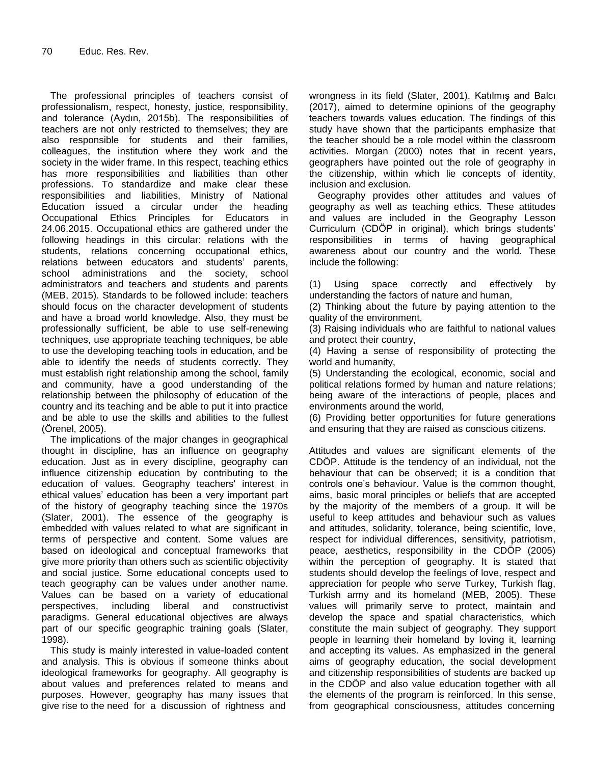The professional principles of teachers consist of professionalism, respect, honesty, justice, responsibility, and tolerance (Aydın, 2015b). The responsibilities of teachers are not only restricted to themselves; they are also responsible for students and their families, colleagues, the institution where they work and the society in the wider frame. In this respect, teaching ethics has more responsibilities and liabilities than other professions. To standardize and make clear these responsibilities and liabilities, Ministry of National Education issued a circular under the heading Occupational Ethics Principles for Educators in 24.06.2015. Occupational ethics are gathered under the following headings in this circular: relations with the students, relations concerning occupational ethics, relations between educators and students' parents, school administrations and the society, school administrators and teachers and students and parents (MEB, 2015). Standards to be followed include: teachers should focus on the character development of students and have a broad world knowledge. Also, they must be professionally sufficient, be able to use self-renewing techniques, use appropriate teaching techniques, be able to use the developing teaching tools in education, and be able to identify the needs of students correctly. They must establish right relationship among the school, family and community, have a good understanding of the relationship between the philosophy of education of the country and its teaching and be able to put it into practice and be able to use the skills and abilities to the fullest (Örenel, 2005).

The implications of the major changes in geographical thought in discipline, has an influence on geography education. Just as in every discipline, geography can influence citizenship education by contributing to the education of values. Geography teachers' interest in ethical values" education has been a very important part of the history of geography teaching since the 1970s (Slater, 2001). The essence of the geography is embedded with values related to what are significant in terms of perspective and content. Some values are based on ideological and conceptual frameworks that give more priority than others such as scientific objectivity and social justice. Some educational concepts used to teach geography can be values under another name. Values can be based on a variety of educational perspectives, including liberal and constructivist paradigms. General educational objectives are always part of our specific geographic training goals (Slater, 1998).

This study is mainly interested in value-loaded content and analysis. This is obvious if someone thinks about ideological frameworks for geography. All geography is about values and preferences related to means and purposes. However, geography has many issues that give rise to the need for a discussion of rightness and

wrongness in its field (Slater, 2001). Katılmış and Balcı (2017), aimed to determine opinions of the geography teachers towards values education. The findings of this study have shown that the participants emphasize that the teacher should be a role model within the classroom activities. Morgan (2000) notes that in recent years, geographers have pointed out the role of geography in the citizenship, within which lie concepts of identity, inclusion and exclusion.

Geography provides other attitudes and values of geography as well as teaching ethics. These attitudes and values are included in the Geography Lesson Curriculum (CDÖP in original), which brings students" responsibilities in terms of having geographical awareness about our country and the world. These include the following:

(1) Using space correctly and effectively by understanding the factors of nature and human,

(2) Thinking about the future by paying attention to the quality of the environment,

(3) Raising individuals who are faithful to national values and protect their country,

(4) Having a sense of responsibility of protecting the world and humanity,

(5) Understanding the ecological, economic, social and political relations formed by human and nature relations; being aware of the interactions of people, places and environments around the world,

(6) Providing better opportunities for future generations and ensuring that they are raised as conscious citizens.

Attitudes and values are significant elements of the CDÖP. Attitude is the tendency of an individual, not the behaviour that can be observed; it is a condition that controls one"s behaviour. Value is the common thought, aims, basic moral principles or beliefs that are accepted by the majority of the members of a group. It will be useful to keep attitudes and behaviour such as values and attitudes, solidarity, tolerance, being scientific, love, respect for individual differences, sensitivity, patriotism, peace, aesthetics, responsibility in the CDÖP (2005) within the perception of geography. It is stated that students should develop the feelings of love, respect and appreciation for people who serve Turkey, Turkish flag, Turkish army and its homeland (MEB, 2005). These values will primarily serve to protect, maintain and develop the space and spatial characteristics, which constitute the main subject of geography. They support people in learning their homeland by loving it, learning and accepting its values. As emphasized in the general aims of geography education, the social development and citizenship responsibilities of students are backed up in the CDÖP and also value education together with all the elements of the program is reinforced. In this sense, from geographical consciousness, attitudes concerning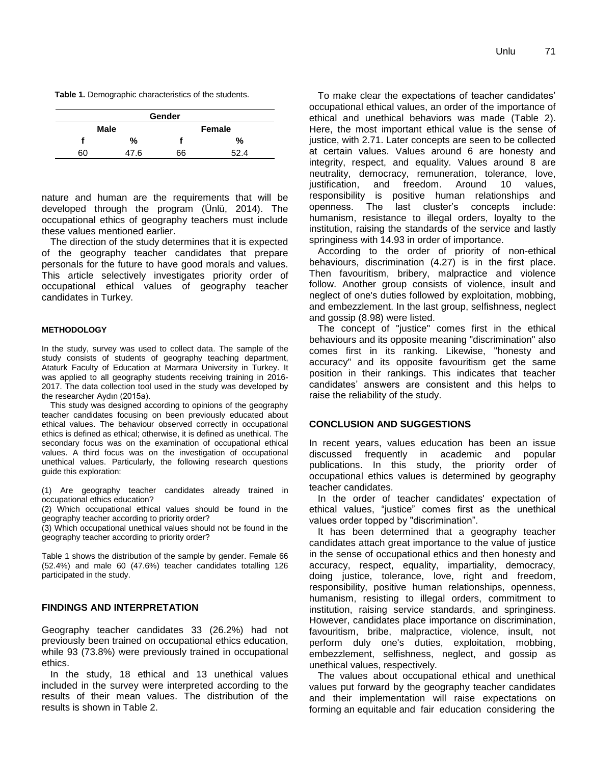**Table 1.** Demographic characteristics of the students.

| Gender      |     |               |    |  |  |  |
|-------------|-----|---------------|----|--|--|--|
| <b>Male</b> |     | <b>Female</b> |    |  |  |  |
|             | %   |               | %  |  |  |  |
| 60          | 7.6 | 66            | ຂາ |  |  |  |

nature and human are the requirements that will be developed through the program (Ünlü, 2014). The occupational ethics of geography teachers must include these values mentioned earlier.

The direction of the study determines that it is expected of the geography teacher candidates that prepare personals for the future to have good morals and values. This article selectively investigates priority order of occupational ethical values of geography teacher candidates in Turkey.

#### **METHODOLOGY**

In the study, survey was used to collect data. The sample of the study consists of students of geography teaching department, Ataturk Faculty of Education at Marmara University in Turkey. It was applied to all geography students receiving training in 2016- 2017. The data collection tool used in the study was developed by the researcher Aydın (2015a).

This study was designed according to opinions of the geography teacher candidates focusing on been previously educated about ethical values. The behaviour observed correctly in occupational ethics is defined as ethical; otherwise, it is defined as unethical. The secondary focus was on the examination of occupational ethical values. A third focus was on the investigation of occupational unethical values. Particularly, the following research questions guide this exploration:

(1) Are geography teacher candidates already trained in occupational ethics education?

(2) Which occupational ethical values should be found in the geography teacher according to priority order?

(3) Which occupational unethical values should not be found in the geography teacher according to priority order?

Table 1 shows the distribution of the sample by gender. Female 66 (52.4%) and male 60 (47.6%) teacher candidates totalling 126 participated in the study.

### **FINDINGS AND INTERPRETATION**

Geography teacher candidates 33 (26.2%) had not previously been trained on occupational ethics education, while 93 (73.8%) were previously trained in occupational ethics.

In the study, 18 ethical and 13 unethical values included in the survey were interpreted according to the results of their mean values. The distribution of the results is shown in Table 2.

To make clear the expectations of teacher candidates" occupational ethical values, an order of the importance of ethical and unethical behaviors was made (Table 2). Here, the most important ethical value is the sense of justice, with 2.71. Later concepts are seen to be collected at certain values. Values around 6 are honesty and integrity, respect, and equality. Values around 8 are neutrality, democracy, remuneration, tolerance, love, justification, and freedom. Around 10 values, responsibility is positive human relationships and openness. The last cluster"s concepts include: humanism, resistance to illegal orders, loyalty to the institution, raising the standards of the service and lastly springiness with 14.93 in order of importance.

According to the order of priority of non-ethical behaviours, discrimination (4.27) is in the first place. Then favouritism, bribery, malpractice and violence follow. Another group consists of violence, insult and neglect of one's duties followed by exploitation, mobbing, and embezzlement. In the last group, selfishness, neglect and gossip (8.98) were listed.

The concept of "justice" comes first in the ethical behaviours and its opposite meaning "discrimination" also comes first in its ranking. Likewise, "honesty and accuracy" and its opposite favouritism get the same position in their rankings. This indicates that teacher candidates" answers are consistent and this helps to raise the reliability of the study.

# **CONCLUSION AND SUGGESTIONS**

In recent years, values education has been an issue discussed frequently in academic and popular publications. In this study, the priority order of occupational ethics values is determined by geography teacher candidates.

In the order of teacher candidates' expectation of ethical values, "justice" comes first as the unethical values order topped by "discrimination".

It has been determined that a geography teacher candidates attach great importance to the value of justice in the sense of occupational ethics and then honesty and accuracy, respect, equality, impartiality, democracy, doing justice, tolerance, love, right and freedom, responsibility, positive human relationships, openness, humanism, resisting to illegal orders, commitment to institution, raising service standards, and springiness. However, candidates place importance on discrimination, favouritism, bribe, malpractice, violence, insult, not perform duly one's duties, exploitation, mobbing, embezzlement, selfishness, neglect, and gossip as unethical values, respectively.

The values about occupational ethical and unethical values put forward by the geography teacher candidates and their implementation will raise expectations on forming an equitable and fair education considering the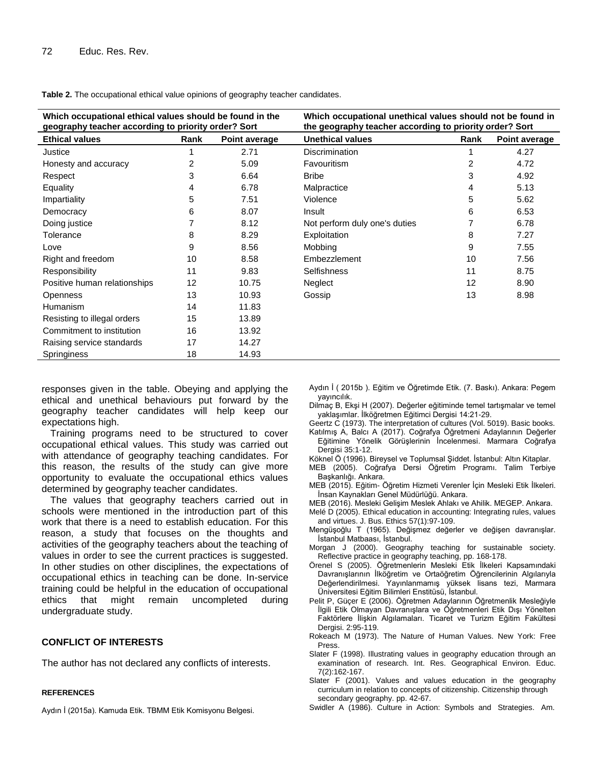| Which occupational ethical values should be found in the<br>geography teacher according to priority order? Sort |      |               | Which occupational unethical values should not be found in<br>the geography teacher according to priority order? Sort |                |               |
|-----------------------------------------------------------------------------------------------------------------|------|---------------|-----------------------------------------------------------------------------------------------------------------------|----------------|---------------|
| <b>Ethical values</b>                                                                                           | Rank | Point average | <b>Unethical values</b>                                                                                               | Rank           | Point average |
| Justice                                                                                                         |      | 2.71          | <b>Discrimination</b>                                                                                                 |                | 4.27          |
| Honesty and accuracy                                                                                            | 2    | 5.09          | Favouritism                                                                                                           | $\overline{2}$ | 4.72          |
| Respect                                                                                                         | 3    | 6.64          | <b>Bribe</b>                                                                                                          | 3              | 4.92          |
| Equality                                                                                                        | 4    | 6.78          | Malpractice                                                                                                           | 4              | 5.13          |
| Impartiality                                                                                                    | 5    | 7.51          | Violence                                                                                                              | 5              | 5.62          |
| Democracy                                                                                                       | 6    | 8.07          | Insult                                                                                                                | 6              | 6.53          |
| Doing justice                                                                                                   |      | 8.12          | Not perform duly one's duties                                                                                         |                | 6.78          |
| Tolerance                                                                                                       | 8    | 8.29          | Exploitation                                                                                                          | 8              | 7.27          |
| Love                                                                                                            | 9    | 8.56          | Mobbing                                                                                                               | 9              | 7.55          |
| Right and freedom                                                                                               | 10   | 8.58          | Embezzlement                                                                                                          | 10             | 7.56          |
| Responsibility                                                                                                  | 11   | 9.83          | <b>Selfishness</b>                                                                                                    | 11             | 8.75          |
| Positive human relationships                                                                                    | 12   | 10.75         | Neglect                                                                                                               | 12             | 8.90          |
| <b>Openness</b>                                                                                                 | 13   | 10.93         | Gossip                                                                                                                | 13             | 8.98          |
| Humanism                                                                                                        | 14   | 11.83         |                                                                                                                       |                |               |
| Resisting to illegal orders                                                                                     | 15   | 13.89         |                                                                                                                       |                |               |
| Commitment to institution                                                                                       | 16   | 13.92         |                                                                                                                       |                |               |
| Raising service standards                                                                                       | 17   | 14.27         |                                                                                                                       |                |               |
| Springiness                                                                                                     | 18   | 14.93         |                                                                                                                       |                |               |

**Table 2.** The occupational ethical value opinions of geography teacher candidates.

responses given in the table. Obeying and applying the ethical and unethical behaviours put forward by the geography teacher candidates will help keep our expectations high.

Training programs need to be structured to cover occupational ethical values. This study was carried out with attendance of geography teaching candidates. For this reason, the results of the study can give more opportunity to evaluate the occupational ethics values determined by geography teacher candidates.

The values that geography teachers carried out in schools were mentioned in the introduction part of this work that there is a need to establish education. For this reason, a study that focuses on the thoughts and activities of the geography teachers about the teaching of values in order to see the current practices is suggested. In other studies on other disciplines, the expectations of occupational ethics in teaching can be done. In-service training could be helpful in the education of occupational ethics that might remain uncompleted during undergraduate study.

# **CONFLICT OF INTERESTS**

The author has not declared any conflicts of interests.

#### **REFERENCES**

Aydın İ (2015a). Kamuda Etik. TBMM Etik Komisyonu Belgesi.

Aydın İ ( 2015b ). Eğitim ve Öğretimde Etik. (7. Baskı). Ankara: Pegem yayıncılık.

- Dilmaç B, Ekşi H (2007). Değerler eğitiminde temel tartışmalar ve temel yaklaşımlar. İlköğretmen Eğitimci Dergisi 14:21-29.
- Geertz C (1973). The interpretation of cultures (Vol. 5019). Basic books.
- Katılmış A, Balcı A (2017). Coğrafya Öğretmeni Adaylarının Değerler Eğitimine Yönelik Görüşlerinin İncelenmesi. Marmara Coğrafya Dergisi 35:1-12.
- Köknel Ö (1996). Bireysel ve Toplumsal Şiddet. İstanbul: Altın Kitaplar.
- MEB (2005). Coğrafya Dersi Öğretim Programı. Talim Terbiye Başkanlığı. Ankara.
- MEB (2015). Eğitim- Öğretim Hizmeti Verenler İçin Mesleki Etik İlkeleri. İnsan Kaynakları Genel Müdürlüğü. Ankara.
- MEB (2016). Mesleki Gelişim Meslek Ahlakı ve Ahilik. MEGEP. Ankara.
- Melé D (2005). Ethical education in accounting: Integrating rules, values and virtues. J. Bus. Ethics 57(1):97-109.
- Mengüşoğlu T (1965). Değişmez değerler ve değişen davranışlar. İstanbul Matbaası, İstanbul.
- Morgan J (2000). Geography teaching for sustainable society. Reflective practice in geography teaching, pp. 168-178.
- Örenel S (2005). Öğretmenlerin Mesleki Etik İlkeleri Kapsamındaki Davranışlarının İlköğretim ve Ortaöğretim Öğrencilerinin Algılarıyla Değerlendirilmesi. Yayınlanmamış yüksek lisans tezi, Marmara Üniversitesi Eğitim Bilimleri Enstitüsü, İstanbul.
- Pelit P, Güçer E (2006). Öğretmen Adaylarının Öğretmenlik Mesleğiyle İlgili Etik Olmayan Davranışlara ve Öğretmenleri Etik Dışı Yönelten Faktörlere İlişkin Algılamaları. Ticaret ve Turizm Eğitim Fakültesi Dergisi. 2:95-119.
- Rokeach M (1973). The Nature of Human Values. New York: Free Press.
- Slater F (1998). Illustrating values in geography education through an examination of research. Int. Res. Geographical Environ. Educ. 7(2):162-167.
- Slater F (2001). Values and values education in the geography curriculum in relation to concepts of citizenship. Citizenship through secondary geography. pp. 42-67.
- Swidler A (1986). Culture in Action: Symbols and Strategies. Am.